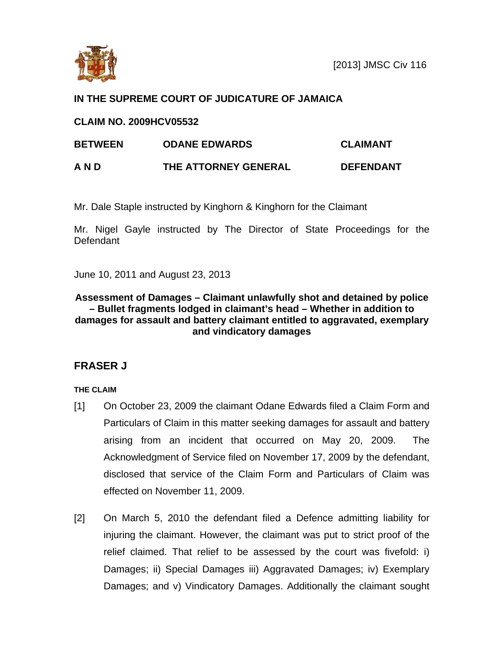

# **IN THE SUPREME COURT OF JUDICATURE OF JAMAICA**

# **CLAIM NO. 2009HCV05532**

| <b>BETWEEN</b> | <b>ODANE EDWARDS</b> | <b>CLAIMANT</b>  |  |
|----------------|----------------------|------------------|--|
| A N D          | THE ATTORNEY GENERAL | <b>DEFENDANT</b> |  |

Mr. Dale Staple instructed by Kinghorn & Kinghorn for the Claimant

Mr. Nigel Gayle instructed by The Director of State Proceedings for the **Defendant** 

June 10, 2011 and August 23, 2013

## **Assessment of Damages – Claimant unlawfully shot and detained by police – Bullet fragments lodged in claimant's head – Whether in addition to damages for assault and battery claimant entitled to aggravated, exemplary and vindicatory damages**

# **FRASER J**

## **THE CLAIM**

- [1] On October 23, 2009 the claimant Odane Edwards filed a Claim Form and Particulars of Claim in this matter seeking damages for assault and battery arising from an incident that occurred on May 20, 2009. The Acknowledgment of Service filed on November 17, 2009 by the defendant, disclosed that service of the Claim Form and Particulars of Claim was effected on November 11, 2009.
- [2] On March 5, 2010 the defendant filed a Defence admitting liability for injuring the claimant. However, the claimant was put to strict proof of the relief claimed. That relief to be assessed by the court was fivefold: i) Damages; ii) Special Damages iii) Aggravated Damages; iv) Exemplary Damages; and v) Vindicatory Damages. Additionally the claimant sought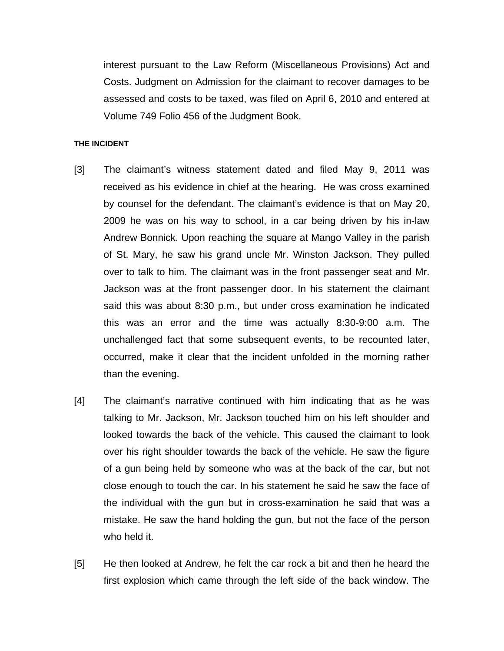interest pursuant to the Law Reform (Miscellaneous Provisions) Act and Costs. Judgment on Admission for the claimant to recover damages to be assessed and costs to be taxed, was filed on April 6, 2010 and entered at Volume 749 Folio 456 of the Judgment Book.

#### **THE INCIDENT**

- [3] The claimant's witness statement dated and filed May 9, 2011 was received as his evidence in chief at the hearing. He was cross examined by counsel for the defendant. The claimant's evidence is that on May 20, 2009 he was on his way to school, in a car being driven by his in-law Andrew Bonnick. Upon reaching the square at Mango Valley in the parish of St. Mary, he saw his grand uncle Mr. Winston Jackson. They pulled over to talk to him. The claimant was in the front passenger seat and Mr. Jackson was at the front passenger door. In his statement the claimant said this was about 8:30 p.m., but under cross examination he indicated this was an error and the time was actually 8:30-9:00 a.m. The unchallenged fact that some subsequent events, to be recounted later, occurred, make it clear that the incident unfolded in the morning rather than the evening.
- [4] The claimant's narrative continued with him indicating that as he was talking to Mr. Jackson, Mr. Jackson touched him on his left shoulder and looked towards the back of the vehicle. This caused the claimant to look over his right shoulder towards the back of the vehicle. He saw the figure of a gun being held by someone who was at the back of the car, but not close enough to touch the car. In his statement he said he saw the face of the individual with the gun but in cross-examination he said that was a mistake. He saw the hand holding the gun, but not the face of the person who held it.
- [5] He then looked at Andrew, he felt the car rock a bit and then he heard the first explosion which came through the left side of the back window. The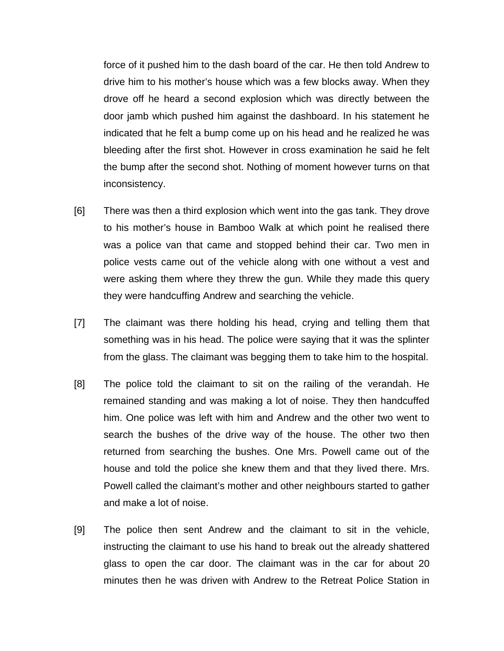force of it pushed him to the dash board of the car. He then told Andrew to drive him to his mother's house which was a few blocks away. When they drove off he heard a second explosion which was directly between the door jamb which pushed him against the dashboard. In his statement he indicated that he felt a bump come up on his head and he realized he was bleeding after the first shot. However in cross examination he said he felt the bump after the second shot. Nothing of moment however turns on that inconsistency.

- [6] There was then a third explosion which went into the gas tank. They drove to his mother's house in Bamboo Walk at which point he realised there was a police van that came and stopped behind their car. Two men in police vests came out of the vehicle along with one without a vest and were asking them where they threw the gun. While they made this query they were handcuffing Andrew and searching the vehicle.
- [7] The claimant was there holding his head, crying and telling them that something was in his head. The police were saying that it was the splinter from the glass. The claimant was begging them to take him to the hospital.
- [8] The police told the claimant to sit on the railing of the verandah. He remained standing and was making a lot of noise. They then handcuffed him. One police was left with him and Andrew and the other two went to search the bushes of the drive way of the house. The other two then returned from searching the bushes. One Mrs. Powell came out of the house and told the police she knew them and that they lived there. Mrs. Powell called the claimant's mother and other neighbours started to gather and make a lot of noise.
- [9] The police then sent Andrew and the claimant to sit in the vehicle, instructing the claimant to use his hand to break out the already shattered glass to open the car door. The claimant was in the car for about 20 minutes then he was driven with Andrew to the Retreat Police Station in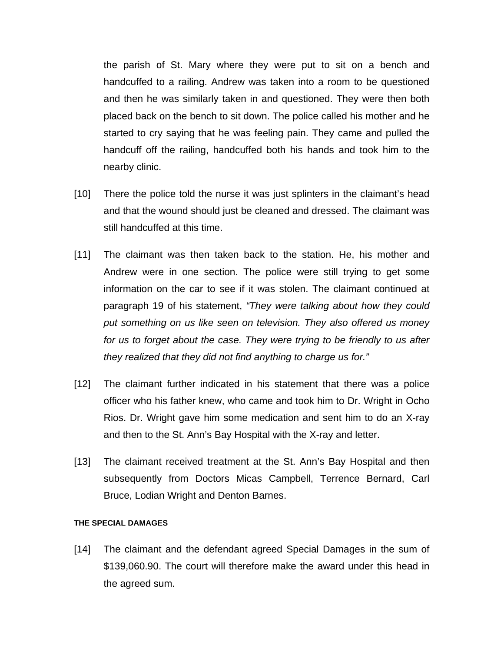the parish of St. Mary where they were put to sit on a bench and handcuffed to a railing. Andrew was taken into a room to be questioned and then he was similarly taken in and questioned. They were then both placed back on the bench to sit down. The police called his mother and he started to cry saying that he was feeling pain. They came and pulled the handcuff off the railing, handcuffed both his hands and took him to the nearby clinic.

- [10] There the police told the nurse it was just splinters in the claimant's head and that the wound should just be cleaned and dressed. The claimant was still handcuffed at this time.
- [11] The claimant was then taken back to the station. He, his mother and Andrew were in one section. The police were still trying to get some information on the car to see if it was stolen. The claimant continued at paragraph 19 of his statement, *"They were talking about how they could put something on us like seen on television. They also offered us money for us to forget about the case. They were trying to be friendly to us after they realized that they did not find anything to charge us for."*
- [12] The claimant further indicated in his statement that there was a police officer who his father knew, who came and took him to Dr. Wright in Ocho Rios. Dr. Wright gave him some medication and sent him to do an X-ray and then to the St. Ann's Bay Hospital with the X-ray and letter.
- [13] The claimant received treatment at the St. Ann's Bay Hospital and then subsequently from Doctors Micas Campbell, Terrence Bernard, Carl Bruce, Lodian Wright and Denton Barnes.

#### **THE SPECIAL DAMAGES**

[14] The claimant and the defendant agreed Special Damages in the sum of \$139,060.90. The court will therefore make the award under this head in the agreed sum.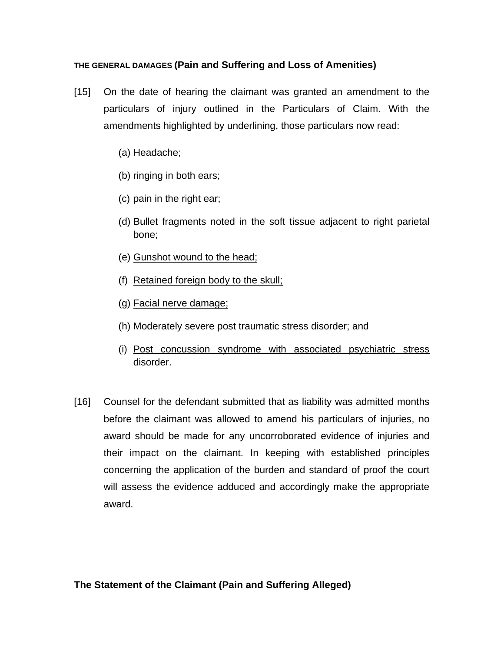### **THE GENERAL DAMAGES (Pain and Suffering and Loss of Amenities)**

- [15] On the date of hearing the claimant was granted an amendment to the particulars of injury outlined in the Particulars of Claim. With the amendments highlighted by underlining, those particulars now read:
	- (a) Headache;
	- (b) ringing in both ears;
	- (c) pain in the right ear;
	- (d) Bullet fragments noted in the soft tissue adjacent to right parietal bone;
	- (e) Gunshot wound to the head;
	- (f) Retained foreign body to the skull;
	- (g) Facial nerve damage;
	- (h) Moderately severe post traumatic stress disorder; and
	- (i) Post concussion syndrome with associated psychiatric stress disorder.
- [16] Counsel for the defendant submitted that as liability was admitted months before the claimant was allowed to amend his particulars of injuries, no award should be made for any uncorroborated evidence of injuries and their impact on the claimant. In keeping with established principles concerning the application of the burden and standard of proof the court will assess the evidence adduced and accordingly make the appropriate award.

**The Statement of the Claimant (Pain and Suffering Alleged)**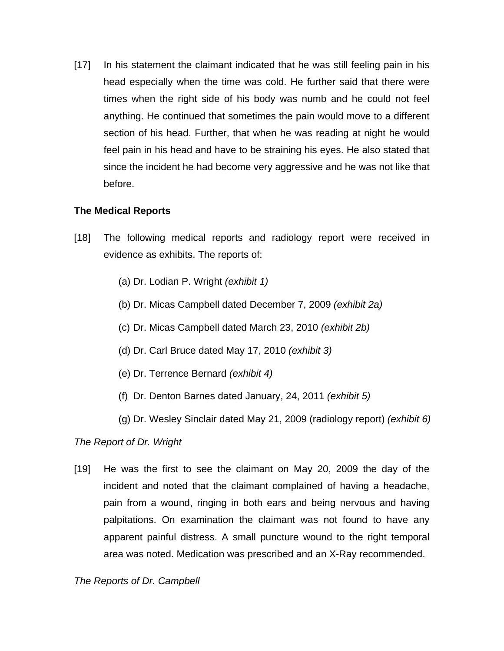[17] In his statement the claimant indicated that he was still feeling pain in his head especially when the time was cold. He further said that there were times when the right side of his body was numb and he could not feel anything. He continued that sometimes the pain would move to a different section of his head. Further, that when he was reading at night he would feel pain in his head and have to be straining his eyes. He also stated that since the incident he had become very aggressive and he was not like that before.

## **The Medical Reports**

- [18] The following medical reports and radiology report were received in evidence as exhibits. The reports of:
	- (a) Dr. Lodian P. Wright *(exhibit 1)*
	- (b) Dr. Micas Campbell dated December 7, 2009 *(exhibit 2a)*
	- (c) Dr. Micas Campbell dated March 23, 2010 *(exhibit 2b)*
	- (d) Dr. Carl Bruce dated May 17, 2010 *(exhibit 3)*
	- (e) Dr. Terrence Bernard *(exhibit 4)*
	- (f) Dr. Denton Barnes dated January, 24, 2011 *(exhibit 5)*
	- (g) Dr. Wesley Sinclair dated May 21, 2009 (radiology report) *(exhibit 6)*

## *The Report of Dr. Wright*

[19] He was the first to see the claimant on May 20, 2009 the day of the incident and noted that the claimant complained of having a headache, pain from a wound, ringing in both ears and being nervous and having palpitations. On examination the claimant was not found to have any apparent painful distress. A small puncture wound to the right temporal area was noted. Medication was prescribed and an X-Ray recommended.

*The Reports of Dr. Campbell*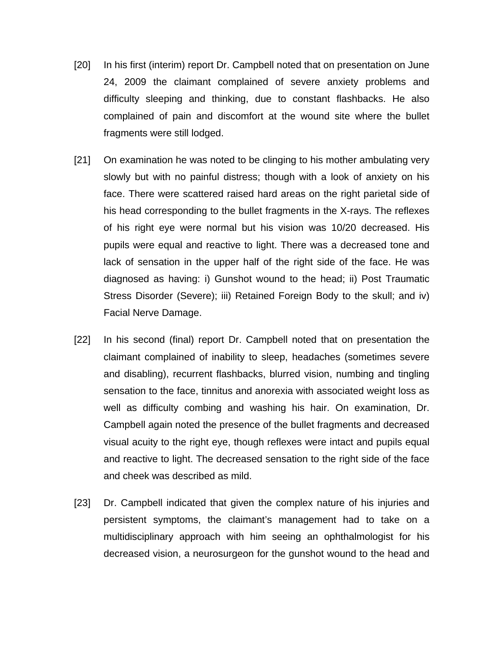- [20] In his first (interim) report Dr. Campbell noted that on presentation on June 24, 2009 the claimant complained of severe anxiety problems and difficulty sleeping and thinking, due to constant flashbacks. He also complained of pain and discomfort at the wound site where the bullet fragments were still lodged.
- [21] On examination he was noted to be clinging to his mother ambulating very slowly but with no painful distress; though with a look of anxiety on his face. There were scattered raised hard areas on the right parietal side of his head corresponding to the bullet fragments in the X-rays. The reflexes of his right eye were normal but his vision was 10/20 decreased. His pupils were equal and reactive to light. There was a decreased tone and lack of sensation in the upper half of the right side of the face. He was diagnosed as having: i) Gunshot wound to the head; ii) Post Traumatic Stress Disorder (Severe); iii) Retained Foreign Body to the skull; and iv) Facial Nerve Damage.
- [22] In his second (final) report Dr. Campbell noted that on presentation the claimant complained of inability to sleep, headaches (sometimes severe and disabling), recurrent flashbacks, blurred vision, numbing and tingling sensation to the face, tinnitus and anorexia with associated weight loss as well as difficulty combing and washing his hair. On examination, Dr. Campbell again noted the presence of the bullet fragments and decreased visual acuity to the right eye, though reflexes were intact and pupils equal and reactive to light. The decreased sensation to the right side of the face and cheek was described as mild.
- [23] Dr. Campbell indicated that given the complex nature of his injuries and persistent symptoms, the claimant's management had to take on a multidisciplinary approach with him seeing an ophthalmologist for his decreased vision, a neurosurgeon for the gunshot wound to the head and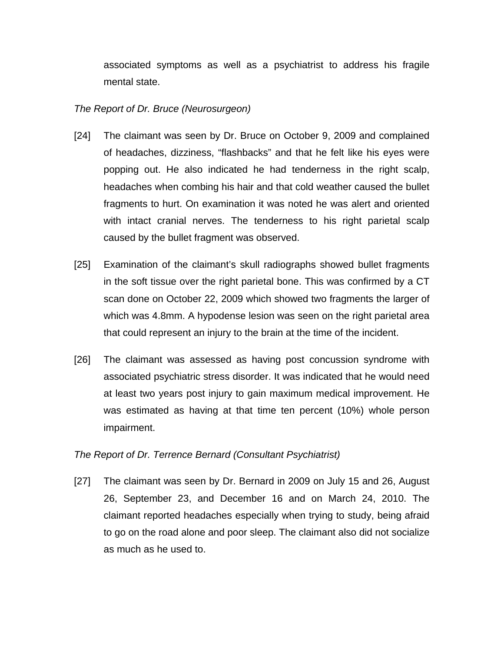associated symptoms as well as a psychiatrist to address his fragile mental state.

## *The Report of Dr. Bruce (Neurosurgeon)*

- [24] The claimant was seen by Dr. Bruce on October 9, 2009 and complained of headaches, dizziness, "flashbacks" and that he felt like his eyes were popping out. He also indicated he had tenderness in the right scalp, headaches when combing his hair and that cold weather caused the bullet fragments to hurt. On examination it was noted he was alert and oriented with intact cranial nerves. The tenderness to his right parietal scalp caused by the bullet fragment was observed.
- [25] Examination of the claimant's skull radiographs showed bullet fragments in the soft tissue over the right parietal bone. This was confirmed by a CT scan done on October 22, 2009 which showed two fragments the larger of which was 4.8mm. A hypodense lesion was seen on the right parietal area that could represent an injury to the brain at the time of the incident.
- [26] The claimant was assessed as having post concussion syndrome with associated psychiatric stress disorder. It was indicated that he would need at least two years post injury to gain maximum medical improvement. He was estimated as having at that time ten percent (10%) whole person impairment.

## *The Report of Dr. Terrence Bernard (Consultant Psychiatrist)*

[27] The claimant was seen by Dr. Bernard in 2009 on July 15 and 26, August 26, September 23, and December 16 and on March 24, 2010. The claimant reported headaches especially when trying to study, being afraid to go on the road alone and poor sleep. The claimant also did not socialize as much as he used to.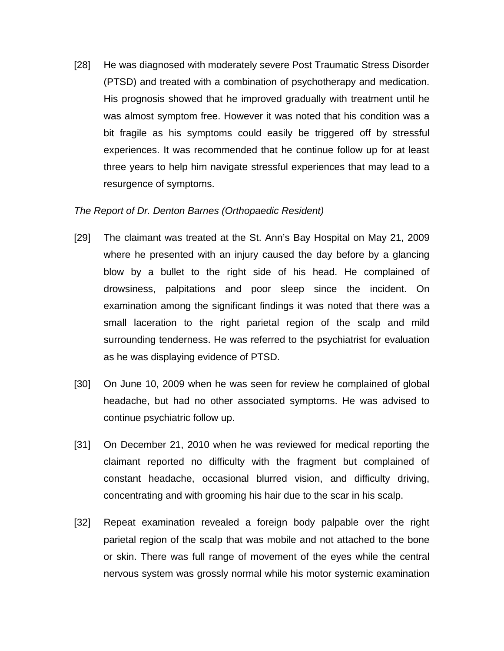[28] He was diagnosed with moderately severe Post Traumatic Stress Disorder (PTSD) and treated with a combination of psychotherapy and medication. His prognosis showed that he improved gradually with treatment until he was almost symptom free. However it was noted that his condition was a bit fragile as his symptoms could easily be triggered off by stressful experiences. It was recommended that he continue follow up for at least three years to help him navigate stressful experiences that may lead to a resurgence of symptoms.

#### *The Report of Dr. Denton Barnes (Orthopaedic Resident)*

- [29] The claimant was treated at the St. Ann's Bay Hospital on May 21, 2009 where he presented with an injury caused the day before by a glancing blow by a bullet to the right side of his head. He complained of drowsiness, palpitations and poor sleep since the incident. On examination among the significant findings it was noted that there was a small laceration to the right parietal region of the scalp and mild surrounding tenderness. He was referred to the psychiatrist for evaluation as he was displaying evidence of PTSD.
- [30] On June 10, 2009 when he was seen for review he complained of global headache, but had no other associated symptoms. He was advised to continue psychiatric follow up.
- [31] On December 21, 2010 when he was reviewed for medical reporting the claimant reported no difficulty with the fragment but complained of constant headache, occasional blurred vision, and difficulty driving, concentrating and with grooming his hair due to the scar in his scalp.
- [32] Repeat examination revealed a foreign body palpable over the right parietal region of the scalp that was mobile and not attached to the bone or skin. There was full range of movement of the eyes while the central nervous system was grossly normal while his motor systemic examination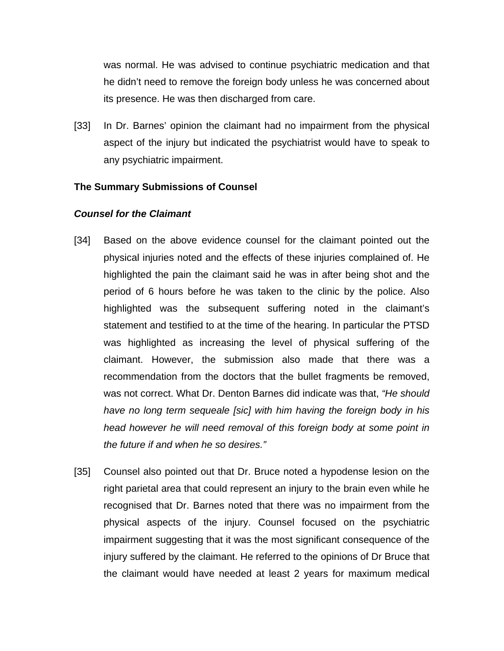was normal. He was advised to continue psychiatric medication and that he didn't need to remove the foreign body unless he was concerned about its presence. He was then discharged from care.

[33] In Dr. Barnes' opinion the claimant had no impairment from the physical aspect of the injury but indicated the psychiatrist would have to speak to any psychiatric impairment.

## **The Summary Submissions of Counsel**

## *Counsel for the Claimant*

- [34] Based on the above evidence counsel for the claimant pointed out the physical injuries noted and the effects of these injuries complained of. He highlighted the pain the claimant said he was in after being shot and the period of 6 hours before he was taken to the clinic by the police. Also highlighted was the subsequent suffering noted in the claimant's statement and testified to at the time of the hearing. In particular the PTSD was highlighted as increasing the level of physical suffering of the claimant. However, the submission also made that there was a recommendation from the doctors that the bullet fragments be removed, was not correct. What Dr. Denton Barnes did indicate was that, *"He should have no long term sequeale [sic] with him having the foreign body in his head however he will need removal of this foreign body at some point in the future if and when he so desires."*
- [35] Counsel also pointed out that Dr. Bruce noted a hypodense lesion on the right parietal area that could represent an injury to the brain even while he recognised that Dr. Barnes noted that there was no impairment from the physical aspects of the injury. Counsel focused on the psychiatric impairment suggesting that it was the most significant consequence of the injury suffered by the claimant. He referred to the opinions of Dr Bruce that the claimant would have needed at least 2 years for maximum medical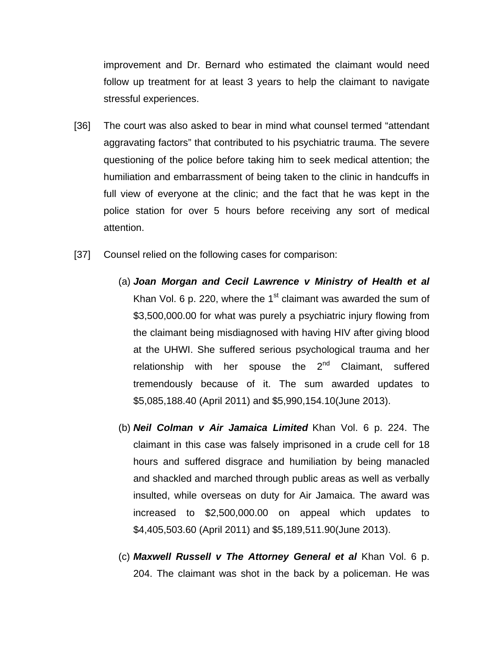improvement and Dr. Bernard who estimated the claimant would need follow up treatment for at least 3 years to help the claimant to navigate stressful experiences.

- [36] The court was also asked to bear in mind what counsel termed "attendant" aggravating factors" that contributed to his psychiatric trauma. The severe questioning of the police before taking him to seek medical attention; the humiliation and embarrassment of being taken to the clinic in handcuffs in full view of everyone at the clinic; and the fact that he was kept in the police station for over 5 hours before receiving any sort of medical attention.
- [37] Counsel relied on the following cases for comparison:
	- (a) *Joan Morgan and Cecil Lawrence v Ministry of Health et al* Khan Vol. 6 p. 220, where the  $1<sup>st</sup>$  claimant was awarded the sum of \$3,500,000.00 for what was purely a psychiatric injury flowing from the claimant being misdiagnosed with having HIV after giving blood at the UHWI. She suffered serious psychological trauma and her relationship with her spouse the  $2^{nd}$  Claimant, suffered tremendously because of it. The sum awarded updates to \$5,085,188.40 (April 2011) and \$5,990,154.10(June 2013).
	- (b) *Neil Colman v Air Jamaica Limited* Khan Vol. 6 p. 224. The claimant in this case was falsely imprisoned in a crude cell for 18 hours and suffered disgrace and humiliation by being manacled and shackled and marched through public areas as well as verbally insulted, while overseas on duty for Air Jamaica. The award was increased to \$2,500,000.00 on appeal which updates to \$4,405,503.60 (April 2011) and \$5,189,511.90(June 2013).
	- (c) *Maxwell Russell v The Attorney General et al* Khan Vol. 6 p. 204. The claimant was shot in the back by a policeman. He was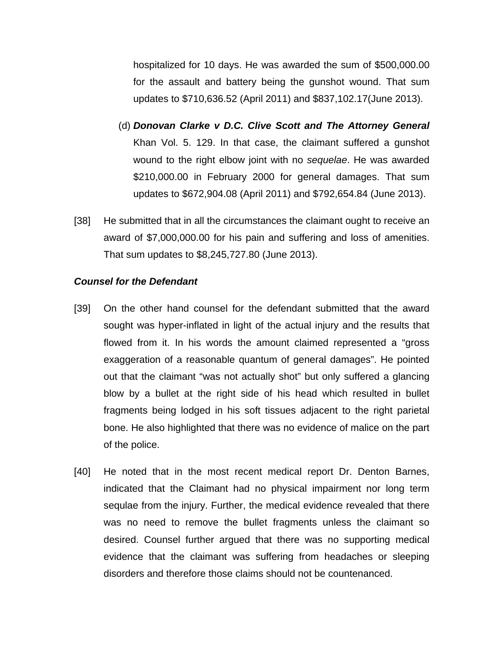hospitalized for 10 days. He was awarded the sum of \$500,000.00 for the assault and battery being the gunshot wound. That sum updates to \$710,636.52 (April 2011) and \$837,102.17(June 2013).

- (d) *Donovan Clarke v D.C. Clive Scott and The Attorney General* Khan Vol. 5. 129. In that case, the claimant suffered a gunshot wound to the right elbow joint with no *sequelae*. He was awarded \$210,000.00 in February 2000 for general damages. That sum updates to \$672,904.08 (April 2011) and \$792,654.84 (June 2013).
- [38] He submitted that in all the circumstances the claimant ought to receive an award of \$7,000,000.00 for his pain and suffering and loss of amenities. That sum updates to \$8,245,727.80 (June 2013).

#### *Counsel for the Defendant*

- [39] On the other hand counsel for the defendant submitted that the award sought was hyper-inflated in light of the actual injury and the results that flowed from it. In his words the amount claimed represented a "gross exaggeration of a reasonable quantum of general damages". He pointed out that the claimant "was not actually shot" but only suffered a glancing blow by a bullet at the right side of his head which resulted in bullet fragments being lodged in his soft tissues adjacent to the right parietal bone. He also highlighted that there was no evidence of malice on the part of the police.
- [40] He noted that in the most recent medical report Dr. Denton Barnes, indicated that the Claimant had no physical impairment nor long term sequlae from the injury. Further, the medical evidence revealed that there was no need to remove the bullet fragments unless the claimant so desired. Counsel further argued that there was no supporting medical evidence that the claimant was suffering from headaches or sleeping disorders and therefore those claims should not be countenanced.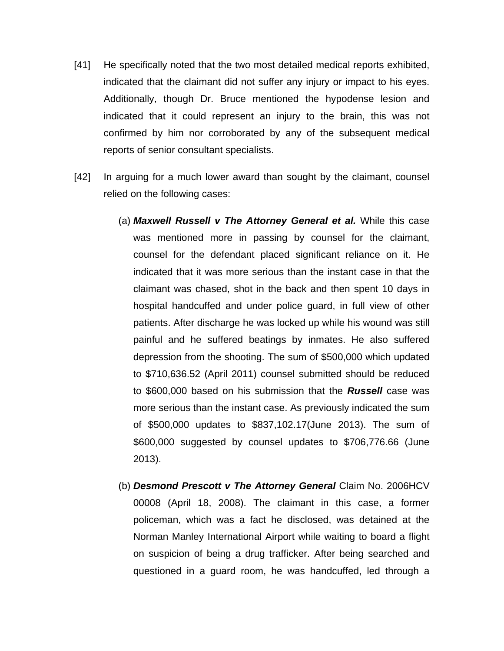- [41] He specifically noted that the two most detailed medical reports exhibited, indicated that the claimant did not suffer any injury or impact to his eyes. Additionally, though Dr. Bruce mentioned the hypodense lesion and indicated that it could represent an injury to the brain, this was not confirmed by him nor corroborated by any of the subsequent medical reports of senior consultant specialists.
- [42] In arguing for a much lower award than sought by the claimant, counsel relied on the following cases:
	- (a) *Maxwell Russell v The Attorney General et al.* While this case was mentioned more in passing by counsel for the claimant, counsel for the defendant placed significant reliance on it. He indicated that it was more serious than the instant case in that the claimant was chased, shot in the back and then spent 10 days in hospital handcuffed and under police guard, in full view of other patients. After discharge he was locked up while his wound was still painful and he suffered beatings by inmates. He also suffered depression from the shooting. The sum of \$500,000 which updated to \$710,636.52 (April 2011) counsel submitted should be reduced to \$600,000 based on his submission that the *Russell* case was more serious than the instant case. As previously indicated the sum of \$500,000 updates to \$837,102.17(June 2013). The sum of \$600,000 suggested by counsel updates to \$706,776.66 (June 2013).
	- (b) *Desmond Prescott v The Attorney General* Claim No. 2006HCV 00008 (April 18, 2008). The claimant in this case, a former policeman, which was a fact he disclosed, was detained at the Norman Manley International Airport while waiting to board a flight on suspicion of being a drug trafficker. After being searched and questioned in a guard room, he was handcuffed, led through a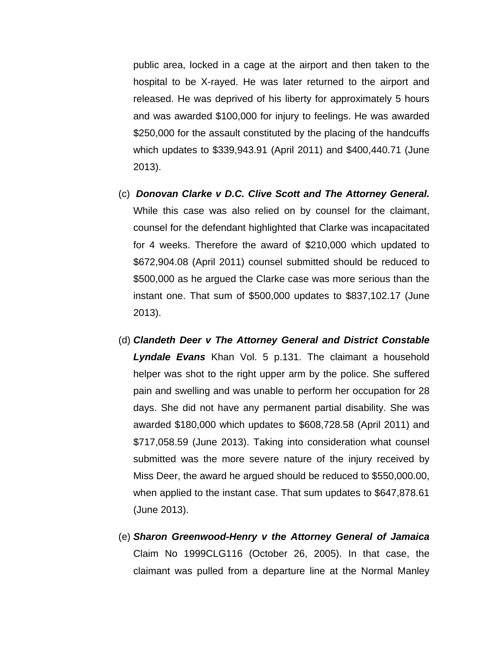public area, locked in a cage at the airport and then taken to the hospital to be X-rayed. He was later returned to the airport and released. He was deprived of his liberty for approximately 5 hours and was awarded \$100,000 for injury to feelings. He was awarded \$250,000 for the assault constituted by the placing of the handcuffs which updates to \$339,943.91 (April 2011) and \$400,440.71 (June 2013).

- (c) *Donovan Clarke v D.C. Clive Scott and The Attorney General.*  While this case was also relied on by counsel for the claimant, counsel for the defendant highlighted that Clarke was incapacitated for 4 weeks. Therefore the award of \$210,000 which updated to \$672,904.08 (April 2011) counsel submitted should be reduced to \$500,000 as he argued the Clarke case was more serious than the instant one. That sum of \$500,000 updates to \$837,102.17 (June 2013).
- (d) *Clandeth Deer v The Attorney General and District Constable Lyndale Evans* Khan Vol. 5 p.131. The claimant a household helper was shot to the right upper arm by the police. She suffered pain and swelling and was unable to perform her occupation for 28 days. She did not have any permanent partial disability. She was awarded \$180,000 which updates to \$608,728.58 (April 2011) and \$717,058.59 (June 2013). Taking into consideration what counsel submitted was the more severe nature of the injury received by Miss Deer, the award he argued should be reduced to \$550,000.00, when applied to the instant case. That sum updates to \$647,878.61 (June 2013).
- (e) *Sharon Greenwood-Henry v the Attorney General of Jamaica*  Claim No 1999CLG116 (October 26, 2005). In that case, the claimant was pulled from a departure line at the Normal Manley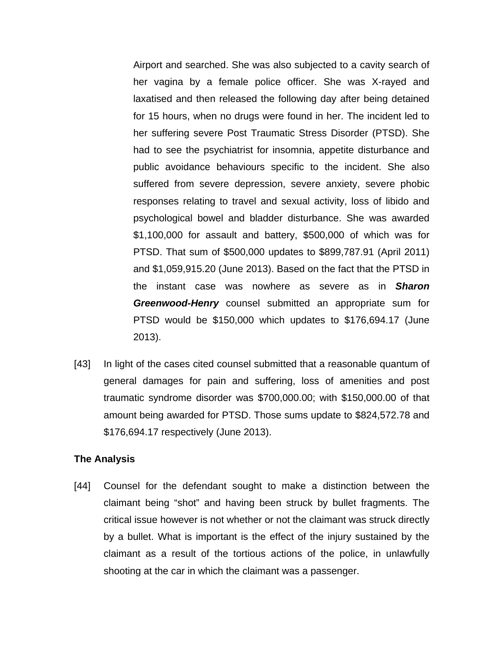Airport and searched. She was also subjected to a cavity search of her vagina by a female police officer. She was X-rayed and laxatised and then released the following day after being detained for 15 hours, when no drugs were found in her. The incident led to her suffering severe Post Traumatic Stress Disorder (PTSD). She had to see the psychiatrist for insomnia, appetite disturbance and public avoidance behaviours specific to the incident. She also suffered from severe depression, severe anxiety, severe phobic responses relating to travel and sexual activity, loss of libido and psychological bowel and bladder disturbance. She was awarded \$1,100,000 for assault and battery, \$500,000 of which was for PTSD. That sum of \$500,000 updates to \$899,787.91 (April 2011) and \$1,059,915.20 (June 2013). Based on the fact that the PTSD in the instant case was nowhere as severe as in *Sharon Greenwood-Henry* counsel submitted an appropriate sum for PTSD would be \$150,000 which updates to \$176,694.17 (June 2013).

[43] In light of the cases cited counsel submitted that a reasonable quantum of general damages for pain and suffering, loss of amenities and post traumatic syndrome disorder was \$700,000.00; with \$150,000.00 of that amount being awarded for PTSD. Those sums update to \$824,572.78 and \$176,694.17 respectively (June 2013).

#### **The Analysis**

[44] Counsel for the defendant sought to make a distinction between the claimant being "shot" and having been struck by bullet fragments. The critical issue however is not whether or not the claimant was struck directly by a bullet. What is important is the effect of the injury sustained by the claimant as a result of the tortious actions of the police, in unlawfully shooting at the car in which the claimant was a passenger.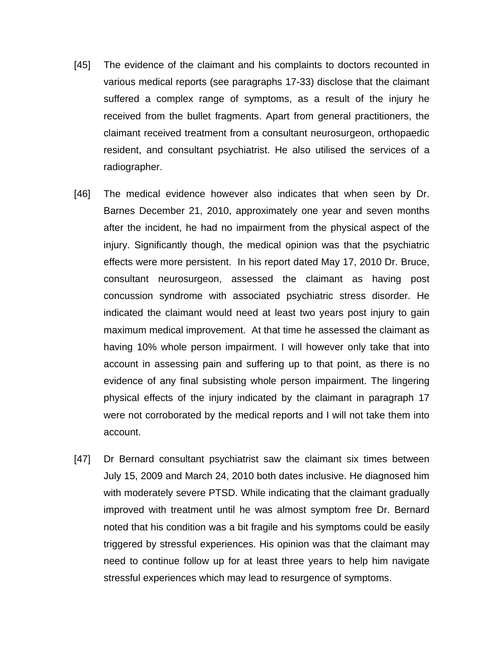- [45] The evidence of the claimant and his complaints to doctors recounted in various medical reports (see paragraphs 17-33) disclose that the claimant suffered a complex range of symptoms, as a result of the injury he received from the bullet fragments. Apart from general practitioners, the claimant received treatment from a consultant neurosurgeon, orthopaedic resident, and consultant psychiatrist. He also utilised the services of a radiographer.
- [46] The medical evidence however also indicates that when seen by Dr. Barnes December 21, 2010, approximately one year and seven months after the incident, he had no impairment from the physical aspect of the injury. Significantly though, the medical opinion was that the psychiatric effects were more persistent. In his report dated May 17, 2010 Dr. Bruce, consultant neurosurgeon, assessed the claimant as having post concussion syndrome with associated psychiatric stress disorder. He indicated the claimant would need at least two years post injury to gain maximum medical improvement. At that time he assessed the claimant as having 10% whole person impairment. I will however only take that into account in assessing pain and suffering up to that point, as there is no evidence of any final subsisting whole person impairment. The lingering physical effects of the injury indicated by the claimant in paragraph 17 were not corroborated by the medical reports and I will not take them into account.
- [47] Dr Bernard consultant psychiatrist saw the claimant six times between July 15, 2009 and March 24, 2010 both dates inclusive. He diagnosed him with moderately severe PTSD. While indicating that the claimant gradually improved with treatment until he was almost symptom free Dr. Bernard noted that his condition was a bit fragile and his symptoms could be easily triggered by stressful experiences. His opinion was that the claimant may need to continue follow up for at least three years to help him navigate stressful experiences which may lead to resurgence of symptoms.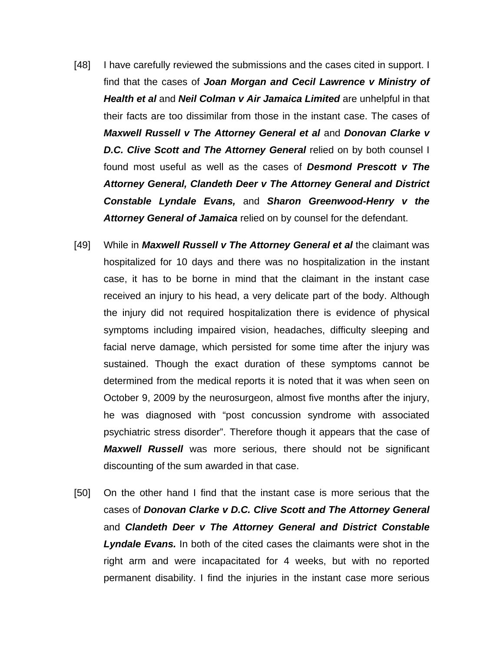- [48] I have carefully reviewed the submissions and the cases cited in support. I find that the cases of *Joan Morgan and Cecil Lawrence v Ministry of Health et al* and *Neil Colman v Air Jamaica Limited* are unhelpful in that their facts are too dissimilar from those in the instant case. The cases of *Maxwell Russell v The Attorney General et al* and *Donovan Clarke v D.C. Clive Scott and The Attorney General* relied on by both counsel I found most useful as well as the cases of *Desmond Prescott v The Attorney General, Clandeth Deer v The Attorney General and District Constable Lyndale Evans,* and *Sharon Greenwood-Henry v the Attorney General of Jamaica* relied on by counsel for the defendant.
- [49] While in *Maxwell Russell v The Attorney General et al* the claimant was hospitalized for 10 days and there was no hospitalization in the instant case, it has to be borne in mind that the claimant in the instant case received an injury to his head, a very delicate part of the body. Although the injury did not required hospitalization there is evidence of physical symptoms including impaired vision, headaches, difficulty sleeping and facial nerve damage, which persisted for some time after the injury was sustained. Though the exact duration of these symptoms cannot be determined from the medical reports it is noted that it was when seen on October 9, 2009 by the neurosurgeon, almost five months after the injury, he was diagnosed with "post concussion syndrome with associated psychiatric stress disorder". Therefore though it appears that the case of *Maxwell Russell* was more serious, there should not be significant discounting of the sum awarded in that case.
- [50] On the other hand I find that the instant case is more serious that the cases of *Donovan Clarke v D.C. Clive Scott and The Attorney General*  and *Clandeth Deer v The Attorney General and District Constable Lyndale Evans.* In both of the cited cases the claimants were shot in the right arm and were incapacitated for 4 weeks, but with no reported permanent disability. I find the injuries in the instant case more serious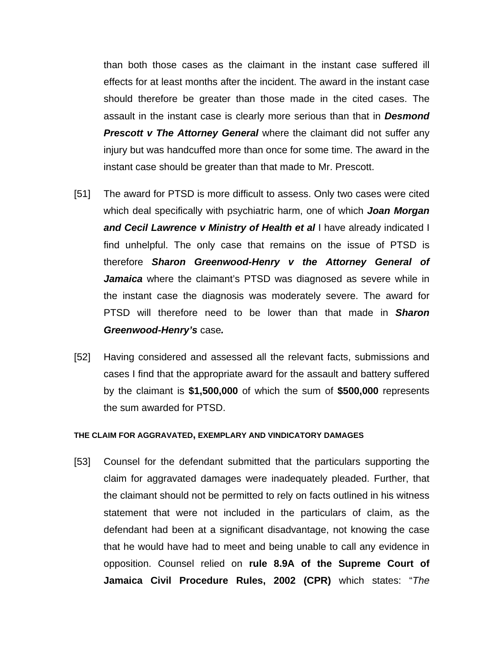than both those cases as the claimant in the instant case suffered ill effects for at least months after the incident. The award in the instant case should therefore be greater than those made in the cited cases. The assault in the instant case is clearly more serious than that in *Desmond Prescott v The Attorney General* where the claimant did not suffer any injury but was handcuffed more than once for some time. The award in the instant case should be greater than that made to Mr. Prescott.

- [51] The award for PTSD is more difficult to assess. Only two cases were cited which deal specifically with psychiatric harm, one of which *Joan Morgan*  **and Cecil Lawrence v Ministry of Health et al** I have already indicated I find unhelpful. The only case that remains on the issue of PTSD is therefore *Sharon Greenwood-Henry v the Attorney General of Jamaica* where the claimant's PTSD was diagnosed as severe while in the instant case the diagnosis was moderately severe. The award for PTSD will therefore need to be lower than that made in *Sharon Greenwood-Henry's* case*.*
- [52] Having considered and assessed all the relevant facts, submissions and cases I find that the appropriate award for the assault and battery suffered by the claimant is **\$1,500,000** of which the sum of **\$500,000** represents the sum awarded for PTSD.

#### **THE CLAIM FOR AGGRAVATED, EXEMPLARY AND VINDICATORY DAMAGES**

[53] Counsel for the defendant submitted that the particulars supporting the claim for aggravated damages were inadequately pleaded. Further, that the claimant should not be permitted to rely on facts outlined in his witness statement that were not included in the particulars of claim, as the defendant had been at a significant disadvantage, not knowing the case that he would have had to meet and being unable to call any evidence in opposition. Counsel relied on **rule 8.9A of the Supreme Court of Jamaica Civil Procedure Rules, 2002 (CPR)** which states: "*The*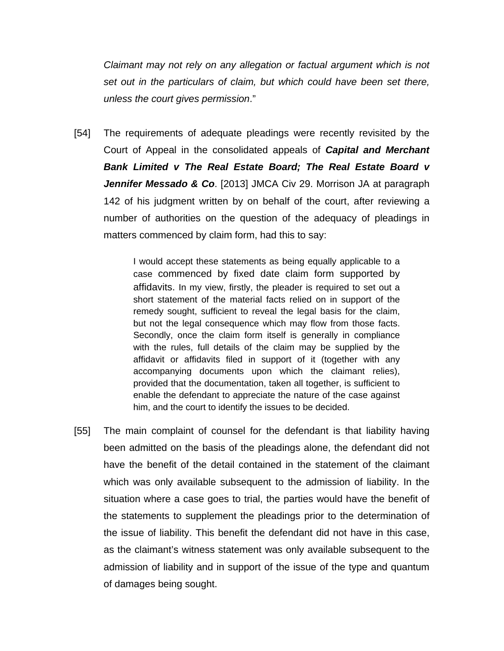*Claimant may not rely on any allegation or factual argument which is not set out in the particulars of claim, but which could have been set there, unless the court gives permission*."

[54] The requirements of adequate pleadings were recently revisited by the Court of Appeal in the consolidated appeals of *Capital and Merchant Bank Limited v The Real Estate Board; The Real Estate Board v*  Jennifer Messado & Co. [2013] JMCA Civ 29. Morrison JA at paragraph 142 of his judgment written by on behalf of the court, after reviewing a number of authorities on the question of the adequacy of pleadings in matters commenced by claim form, had this to say:

> I would accept these statements as being equally applicable to a case commenced by fixed date claim form supported by affidavits. In my view, firstly, the pleader is required to set out a short statement of the material facts relied on in support of the remedy sought, sufficient to reveal the legal basis for the claim, but not the legal consequence which may flow from those facts. Secondly, once the claim form itself is generally in compliance with the rules, full details of the claim may be supplied by the affidavit or affidavits filed in support of it (together with any accompanying documents upon which the claimant relies), provided that the documentation, taken all together, is sufficient to enable the defendant to appreciate the nature of the case against him, and the court to identify the issues to be decided.

[55] The main complaint of counsel for the defendant is that liability having been admitted on the basis of the pleadings alone, the defendant did not have the benefit of the detail contained in the statement of the claimant which was only available subsequent to the admission of liability. In the situation where a case goes to trial, the parties would have the benefit of the statements to supplement the pleadings prior to the determination of the issue of liability. This benefit the defendant did not have in this case, as the claimant's witness statement was only available subsequent to the admission of liability and in support of the issue of the type and quantum of damages being sought.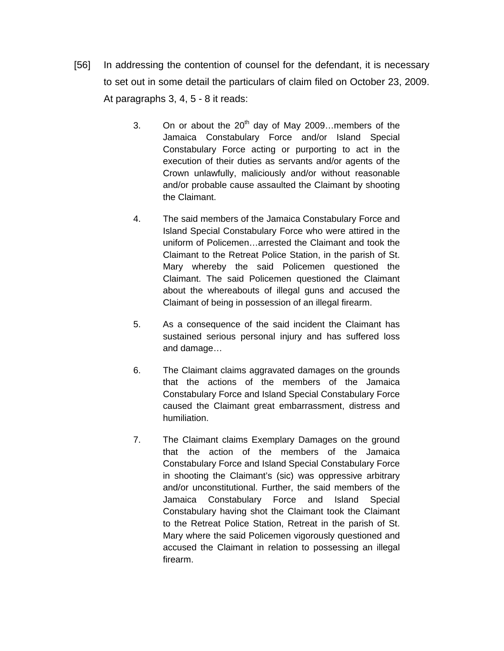- [56] In addressing the contention of counsel for the defendant, it is necessary to set out in some detail the particulars of claim filed on October 23, 2009. At paragraphs 3, 4, 5 - 8 it reads:
	- 3. On or about the  $20<sup>th</sup>$  day of May 2009... members of the Jamaica Constabulary Force and/or Island Special Constabulary Force acting or purporting to act in the execution of their duties as servants and/or agents of the Crown unlawfully, maliciously and/or without reasonable and/or probable cause assaulted the Claimant by shooting the Claimant.
	- 4. The said members of the Jamaica Constabulary Force and Island Special Constabulary Force who were attired in the uniform of Policemen…arrested the Claimant and took the Claimant to the Retreat Police Station, in the parish of St. Mary whereby the said Policemen questioned the Claimant. The said Policemen questioned the Claimant about the whereabouts of illegal guns and accused the Claimant of being in possession of an illegal firearm.
	- 5. As a consequence of the said incident the Claimant has sustained serious personal injury and has suffered loss and damage…
	- 6. The Claimant claims aggravated damages on the grounds that the actions of the members of the Jamaica Constabulary Force and Island Special Constabulary Force caused the Claimant great embarrassment, distress and humiliation.
	- 7. The Claimant claims Exemplary Damages on the ground that the action of the members of the Jamaica Constabulary Force and Island Special Constabulary Force in shooting the Claimant's (sic) was oppressive arbitrary and/or unconstitutional. Further, the said members of the Jamaica Constabulary Force and Island Special Constabulary having shot the Claimant took the Claimant to the Retreat Police Station, Retreat in the parish of St. Mary where the said Policemen vigorously questioned and accused the Claimant in relation to possessing an illegal firearm.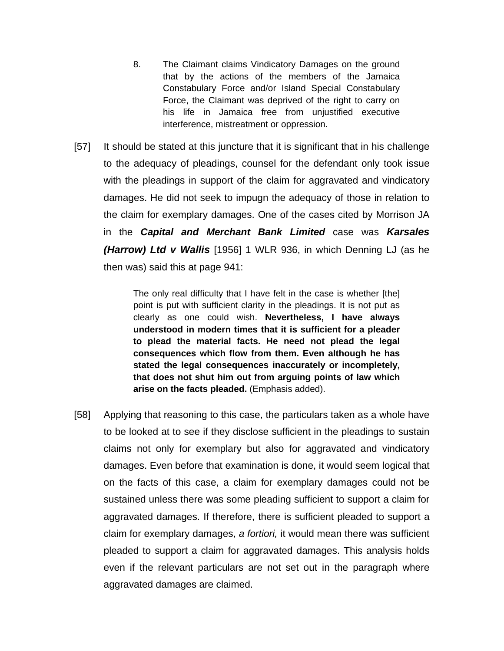- 8. The Claimant claims Vindicatory Damages on the ground that by the actions of the members of the Jamaica Constabulary Force and/or Island Special Constabulary Force, the Claimant was deprived of the right to carry on his life in Jamaica free from unjustified executive interference, mistreatment or oppression.
- [57] It should be stated at this juncture that it is significant that in his challenge to the adequacy of pleadings, counsel for the defendant only took issue with the pleadings in support of the claim for aggravated and vindicatory damages. He did not seek to impugn the adequacy of those in relation to the claim for exemplary damages. One of the cases cited by Morrison JA in the *Capital and Merchant Bank Limited* case was *Karsales (Harrow) Ltd v Wallis* [1956] 1 WLR 936, in which Denning LJ (as he then was) said this at page 941:

The only real difficulty that I have felt in the case is whether [the] point is put with sufficient clarity in the pleadings. It is not put as clearly as one could wish. **Nevertheless, I have always understood in modern times that it is sufficient for a pleader to plead the material facts. He need not plead the legal consequences which flow from them. Even although he has stated the legal consequences inaccurately or incompletely, that does not shut him out from arguing points of law which arise on the facts pleaded.** (Emphasis added).

[58] Applying that reasoning to this case, the particulars taken as a whole have to be looked at to see if they disclose sufficient in the pleadings to sustain claims not only for exemplary but also for aggravated and vindicatory damages. Even before that examination is done, it would seem logical that on the facts of this case, a claim for exemplary damages could not be sustained unless there was some pleading sufficient to support a claim for aggravated damages. If therefore, there is sufficient pleaded to support a claim for exemplary damages, *a fortiori,* it would mean there was sufficient pleaded to support a claim for aggravated damages. This analysis holds even if the relevant particulars are not set out in the paragraph where aggravated damages are claimed.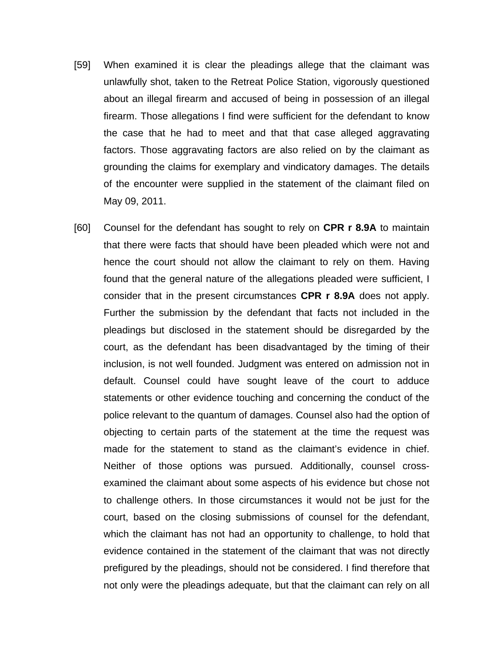- [59] When examined it is clear the pleadings allege that the claimant was unlawfully shot, taken to the Retreat Police Station, vigorously questioned about an illegal firearm and accused of being in possession of an illegal firearm. Those allegations I find were sufficient for the defendant to know the case that he had to meet and that that case alleged aggravating factors. Those aggravating factors are also relied on by the claimant as grounding the claims for exemplary and vindicatory damages. The details of the encounter were supplied in the statement of the claimant filed on May 09, 2011.
- [60] Counsel for the defendant has sought to rely on **CPR r 8.9A** to maintain that there were facts that should have been pleaded which were not and hence the court should not allow the claimant to rely on them. Having found that the general nature of the allegations pleaded were sufficient, I consider that in the present circumstances **CPR r 8.9A** does not apply. Further the submission by the defendant that facts not included in the pleadings but disclosed in the statement should be disregarded by the court, as the defendant has been disadvantaged by the timing of their inclusion, is not well founded. Judgment was entered on admission not in default. Counsel could have sought leave of the court to adduce statements or other evidence touching and concerning the conduct of the police relevant to the quantum of damages. Counsel also had the option of objecting to certain parts of the statement at the time the request was made for the statement to stand as the claimant's evidence in chief. Neither of those options was pursued. Additionally, counsel crossexamined the claimant about some aspects of his evidence but chose not to challenge others. In those circumstances it would not be just for the court, based on the closing submissions of counsel for the defendant, which the claimant has not had an opportunity to challenge, to hold that evidence contained in the statement of the claimant that was not directly prefigured by the pleadings, should not be considered. I find therefore that not only were the pleadings adequate, but that the claimant can rely on all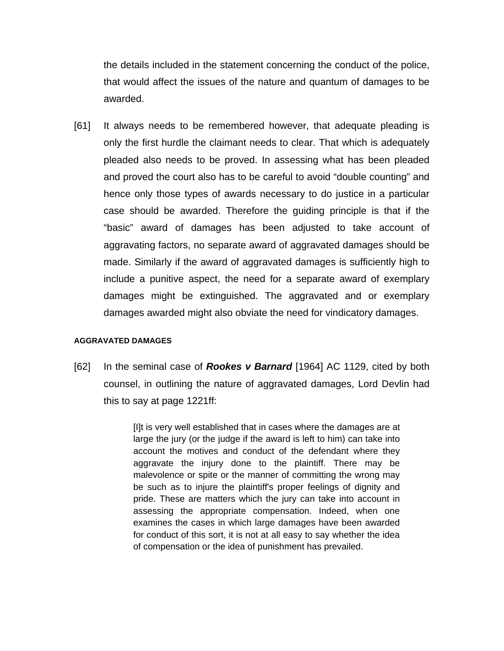the details included in the statement concerning the conduct of the police, that would affect the issues of the nature and quantum of damages to be awarded.

[61] It always needs to be remembered however, that adequate pleading is only the first hurdle the claimant needs to clear. That which is adequately pleaded also needs to be proved. In assessing what has been pleaded and proved the court also has to be careful to avoid "double counting" and hence only those types of awards necessary to do justice in a particular case should be awarded. Therefore the guiding principle is that if the "basic" award of damages has been adjusted to take account of aggravating factors, no separate award of aggravated damages should be made. Similarly if the award of aggravated damages is sufficiently high to include a punitive aspect, the need for a separate award of exemplary damages might be extinguished. The aggravated and or exemplary damages awarded might also obviate the need for vindicatory damages.

#### **AGGRAVATED DAMAGES**

[62] In the seminal case of *Rookes v Barnard* [1964] AC 1129, cited by both counsel, in outlining the nature of aggravated damages, Lord Devlin had this to say at page 1221ff:

> [I]t is very well established that in cases where the damages are at large the jury (or the judge if the award is left to him) can take into account the motives and conduct of the defendant where they aggravate the injury done to the plaintiff. There may be malevolence or spite or the manner of committing the wrong may be such as to injure the plaintiff's proper feelings of dignity and pride. These are matters which the jury can take into account in assessing the appropriate compensation. Indeed, when one examines the cases in which large damages have been awarded for conduct of this sort, it is not at all easy to say whether the idea of compensation or the idea of punishment has prevailed.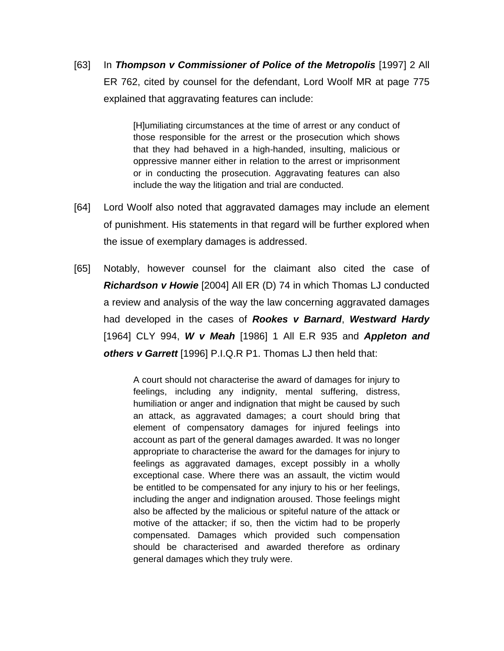[63] In *Thompson v Commissioner of Police of the Metropolis* [1997] 2 All ER 762, cited by counsel for the defendant, Lord Woolf MR at page 775 explained that aggravating features can include:

> [H]umiliating circumstances at the time of arrest or any conduct of those responsible for the arrest or the prosecution which shows that they had behaved in a high-handed, insulting, malicious or oppressive manner either in relation to the arrest or imprisonment or in conducting the prosecution. Aggravating features can also include the way the litigation and trial are conducted.

- [64] Lord Woolf also noted that aggravated damages may include an element of punishment. His statements in that regard will be further explored when the issue of exemplary damages is addressed.
- [65] Notably, however counsel for the claimant also cited the case of *Richardson v Howie* [2004] All ER (D) 74 in which Thomas LJ conducted a review and analysis of the way the law concerning aggravated damages had developed in the cases of *Rookes v Barnard*, *Westward Hardy* [1964] CLY 994, *W v Meah* [1986] 1 All E.R 935 and *Appleton and others v Garrett* [1996] P.I.Q.R P1. Thomas LJ then held that:

A court should not characterise the award of damages for injury to feelings, including any indignity, mental suffering, distress, humiliation or anger and indignation that might be caused by such an attack, as aggravated damages; a court should bring that element of compensatory damages for injured feelings into account as part of the general damages awarded. It was no longer appropriate to characterise the award for the damages for injury to feelings as aggravated damages, except possibly in a wholly exceptional case. Where there was an assault, the victim would be entitled to be compensated for any injury to his or her feelings, including the anger and indignation aroused. Those feelings might also be affected by the malicious or spiteful nature of the attack or motive of the attacker; if so, then the victim had to be properly compensated. Damages which provided such compensation should be characterised and awarded therefore as ordinary general damages which they truly were.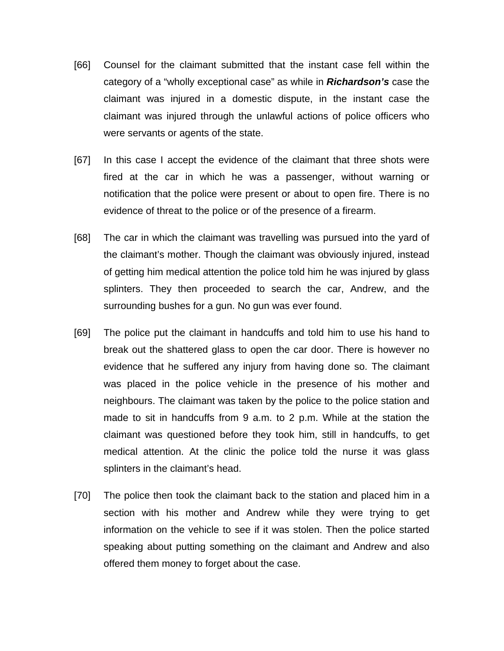- [66] Counsel for the claimant submitted that the instant case fell within the category of a "wholly exceptional case" as while in *Richardson's* case the claimant was injured in a domestic dispute, in the instant case the claimant was injured through the unlawful actions of police officers who were servants or agents of the state.
- [67] In this case I accept the evidence of the claimant that three shots were fired at the car in which he was a passenger, without warning or notification that the police were present or about to open fire. There is no evidence of threat to the police or of the presence of a firearm.
- [68] The car in which the claimant was travelling was pursued into the yard of the claimant's mother. Though the claimant was obviously injured, instead of getting him medical attention the police told him he was injured by glass splinters. They then proceeded to search the car, Andrew, and the surrounding bushes for a gun. No gun was ever found.
- [69] The police put the claimant in handcuffs and told him to use his hand to break out the shattered glass to open the car door. There is however no evidence that he suffered any injury from having done so. The claimant was placed in the police vehicle in the presence of his mother and neighbours. The claimant was taken by the police to the police station and made to sit in handcuffs from 9 a.m. to 2 p.m. While at the station the claimant was questioned before they took him, still in handcuffs, to get medical attention. At the clinic the police told the nurse it was glass splinters in the claimant's head.
- [70] The police then took the claimant back to the station and placed him in a section with his mother and Andrew while they were trying to get information on the vehicle to see if it was stolen. Then the police started speaking about putting something on the claimant and Andrew and also offered them money to forget about the case.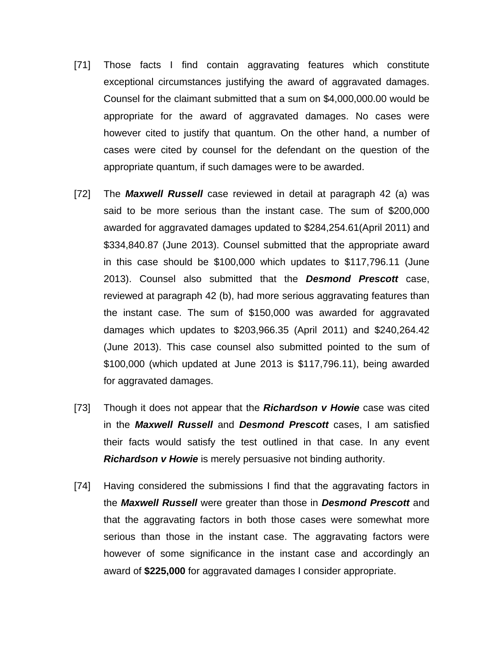- [71] Those facts I find contain aggravating features which constitute exceptional circumstances justifying the award of aggravated damages. Counsel for the claimant submitted that a sum on \$4,000,000.00 would be appropriate for the award of aggravated damages. No cases were however cited to justify that quantum. On the other hand, a number of cases were cited by counsel for the defendant on the question of the appropriate quantum, if such damages were to be awarded.
- [72] The *Maxwell Russell* case reviewed in detail at paragraph 42 (a) was said to be more serious than the instant case. The sum of \$200,000 awarded for aggravated damages updated to \$284,254.61(April 2011) and \$334,840.87 (June 2013). Counsel submitted that the appropriate award in this case should be \$100,000 which updates to \$117,796.11 (June 2013). Counsel also submitted that the *Desmond Prescott* case, reviewed at paragraph 42 (b), had more serious aggravating features than the instant case. The sum of \$150,000 was awarded for aggravated damages which updates to \$203,966.35 (April 2011) and \$240,264.42 (June 2013). This case counsel also submitted pointed to the sum of \$100,000 (which updated at June 2013 is \$117,796.11), being awarded for aggravated damages.
- [73] Though it does not appear that the *Richardson v Howie* case was cited in the *Maxwell Russell* and *Desmond Prescott* cases, I am satisfied their facts would satisfy the test outlined in that case. In any event *Richardson v Howie* is merely persuasive not binding authority.
- [74] Having considered the submissions I find that the aggravating factors in the *Maxwell Russell* were greater than those in *Desmond Prescott* and that the aggravating factors in both those cases were somewhat more serious than those in the instant case. The aggravating factors were however of some significance in the instant case and accordingly an award of **\$225,000** for aggravated damages I consider appropriate.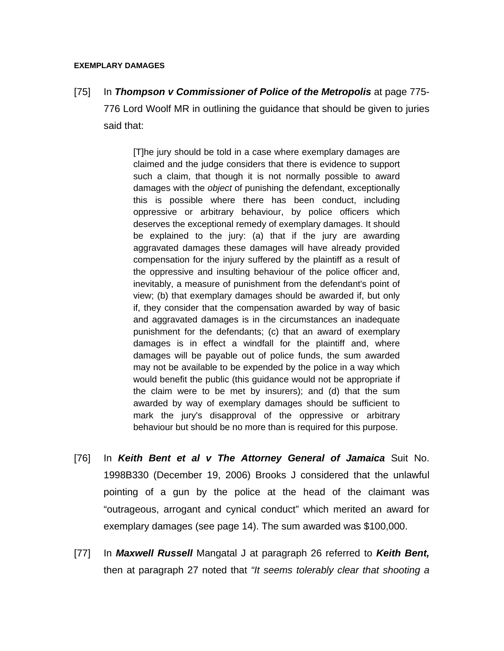#### **EXEMPLARY DAMAGES**

### [75] In *Thompson v Commissioner of Police of the Metropolis* at page 775-

776 Lord Woolf MR in outlining the guidance that should be given to juries said that:

[T]he jury should be told in a case where exemplary damages are claimed and the judge considers that there is evidence to support such a claim, that though it is not normally possible to award damages with the *object* of punishing the defendant, exceptionally this is possible where there has been conduct, including oppressive or arbitrary behaviour, by police officers which deserves the exceptional remedy of exemplary damages. It should be explained to the jury: (a) that if the jury are awarding aggravated damages these damages will have already provided compensation for the injury suffered by the plaintiff as a result of the oppressive and insulting behaviour of the police officer and, inevitably, a measure of punishment from the defendant's point of view; (b) that exemplary damages should be awarded if, but only if, they consider that the compensation awarded by way of basic and aggravated damages is in the circumstances an inadequate punishment for the defendants; (c) that an award of exemplary damages is in effect a windfall for the plaintiff and, where damages will be payable out of police funds, the sum awarded may not be available to be expended by the police in a way which would benefit the public (this guidance would not be appropriate if the claim were to be met by insurers); and (d) that the sum awarded by way of exemplary damages should be sufficient to mark the jury's disapproval of the oppressive or arbitrary behaviour but should be no more than is required for this purpose.

- [76] In *Keith Bent et al v The Attorney General of Jamaica* Suit No. 1998B330 (December 19, 2006) Brooks J considered that the unlawful pointing of a gun by the police at the head of the claimant was "outrageous, arrogant and cynical conduct" which merited an award for exemplary damages (see page 14). The sum awarded was \$100,000.
- [77] In *Maxwell Russell* Mangatal J at paragraph 26 referred to *Keith Bent,* then at paragraph 27 noted that *"It seems tolerably clear that shooting a*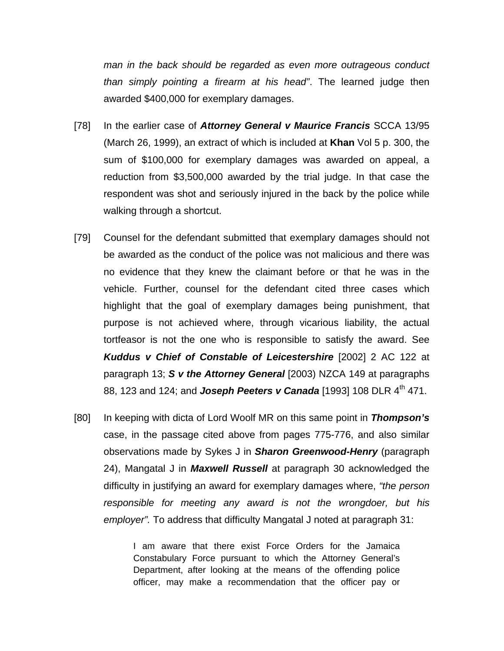*man in the back should be regarded as even more outrageous conduct than simply pointing a firearm at his head"*. The learned judge then awarded \$400,000 for exemplary damages.

- [78] In the earlier case of *Attorney General v Maurice Francis* SCCA 13/95 (March 26, 1999), an extract of which is included at **Khan** Vol 5 p. 300, the sum of \$100,000 for exemplary damages was awarded on appeal, a reduction from \$3,500,000 awarded by the trial judge. In that case the respondent was shot and seriously injured in the back by the police while walking through a shortcut.
- [79] Counsel for the defendant submitted that exemplary damages should not be awarded as the conduct of the police was not malicious and there was no evidence that they knew the claimant before or that he was in the vehicle. Further, counsel for the defendant cited three cases which highlight that the goal of exemplary damages being punishment, that purpose is not achieved where, through vicarious liability, the actual tortfeasor is not the one who is responsible to satisfy the award. See *Kuddus v Chief of Constable of Leicestershire* [2002] 2 AC 122 at paragraph 13; *S v the Attorney General* [2003) NZCA 149 at paragraphs 88, 123 and 124; and **Joseph Peeters v Canada** [1993] 108 DLR 4<sup>th</sup> 471.
- [80] In keeping with dicta of Lord Woolf MR on this same point in *Thompson's* case, in the passage cited above from pages 775-776, and also similar observations made by Sykes J in *Sharon Greenwood-Henry* (paragraph 24), Mangatal J in *Maxwell Russell* at paragraph 30 acknowledged the difficulty in justifying an award for exemplary damages where, *"the person responsible for meeting any award is not the wrongdoer, but his employer".* To address that difficulty Mangatal J noted at paragraph 31:

I am aware that there exist Force Orders for the Jamaica Constabulary Force pursuant to which the Attorney General's Department, after looking at the means of the offending police officer, may make a recommendation that the officer pay or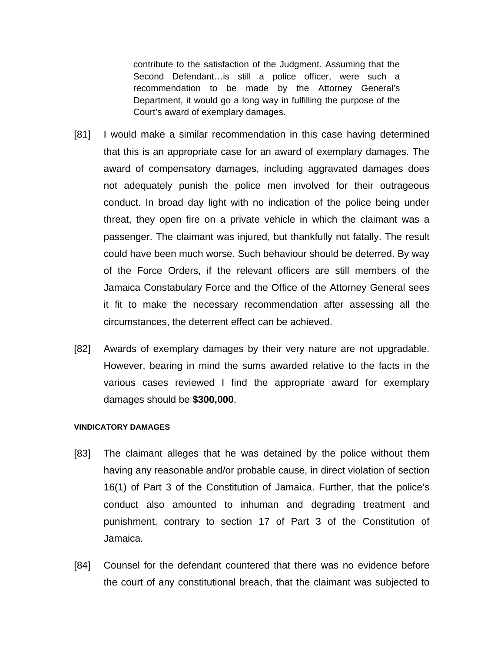contribute to the satisfaction of the Judgment. Assuming that the Second Defendant...is still a police officer, were such a recommendation to be made by the Attorney General's Department, it would go a long way in fulfilling the purpose of the Court's award of exemplary damages.

- [81] I would make a similar recommendation in this case having determined that this is an appropriate case for an award of exemplary damages. The award of compensatory damages, including aggravated damages does not adequately punish the police men involved for their outrageous conduct. In broad day light with no indication of the police being under threat, they open fire on a private vehicle in which the claimant was a passenger. The claimant was injured, but thankfully not fatally. The result could have been much worse. Such behaviour should be deterred. By way of the Force Orders, if the relevant officers are still members of the Jamaica Constabulary Force and the Office of the Attorney General sees it fit to make the necessary recommendation after assessing all the circumstances, the deterrent effect can be achieved.
- [82] Awards of exemplary damages by their very nature are not upgradable. However, bearing in mind the sums awarded relative to the facts in the various cases reviewed I find the appropriate award for exemplary damages should be **\$300,000**.

#### **VINDICATORY DAMAGES**

- [83] The claimant alleges that he was detained by the police without them having any reasonable and/or probable cause, in direct violation of section 16(1) of Part 3 of the Constitution of Jamaica. Further, that the police's conduct also amounted to inhuman and degrading treatment and punishment, contrary to section 17 of Part 3 of the Constitution of Jamaica.
- [84] Counsel for the defendant countered that there was no evidence before the court of any constitutional breach, that the claimant was subjected to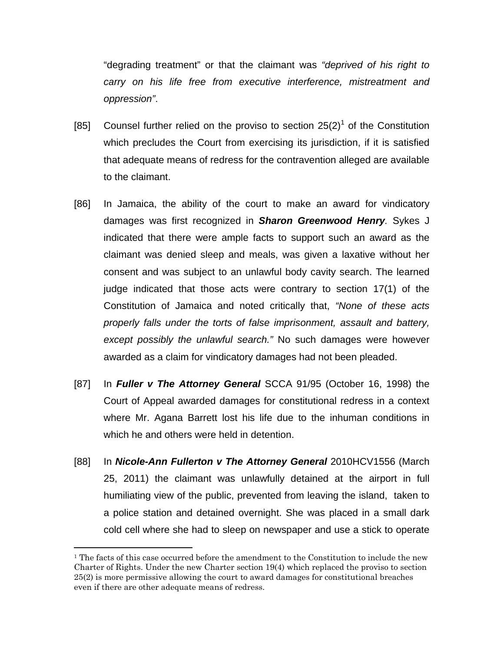"degrading treatment" or that the claimant was *"deprived of his right to carry on his life free from executive interference, mistreatment and oppression"*.

- [85] Counsel further relied on the proviso to section  $25(2)^1$  of the Constitution which precludes the Court from exercising its jurisdiction, if it is satisfied that adequate means of redress for the contravention alleged are available to the claimant.
- [86] In Jamaica, the ability of the court to make an award for vindicatory damages was first recognized in *Sharon Greenwood Henry.* Sykes J indicated that there were ample facts to support such an award as the claimant was denied sleep and meals, was given a laxative without her consent and was subject to an unlawful body cavity search. The learned judge indicated that those acts were contrary to section 17(1) of the Constitution of Jamaica and noted critically that, *"None of these acts properly falls under the torts of false imprisonment, assault and battery, except possibly the unlawful search."* No such damages were however awarded as a claim for vindicatory damages had not been pleaded.
- [87] In *Fuller v The Attorney General* SCCA 91/95 (October 16, 1998) the Court of Appeal awarded damages for constitutional redress in a context where Mr. Agana Barrett lost his life due to the inhuman conditions in which he and others were held in detention.
- [88] In *Nicole-Ann Fullerton v The Attorney General* 2010HCV1556 (March 25, 2011) the claimant was unlawfully detained at the airport in full humiliating view of the public, prevented from leaving the island, taken to a police station and detained overnight. She was placed in a small dark cold cell where she had to sleep on newspaper and use a stick to operate

 $\overline{a}$ 

<sup>&</sup>lt;sup>1</sup> The facts of this case occurred before the amendment to the Constitution to include the new Charter of Rights. Under the new Charter section 19(4) which replaced the proviso to section 25(2) is more permissive allowing the court to award damages for constitutional breaches even if there are other adequate means of redress.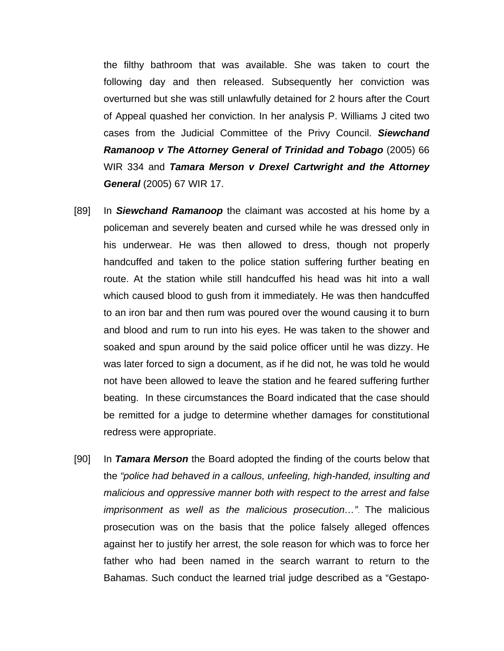the filthy bathroom that was available. She was taken to court the following day and then released. Subsequently her conviction was overturned but she was still unlawfully detained for 2 hours after the Court of Appeal quashed her conviction. In her analysis P. Williams J cited two cases from the Judicial Committee of the Privy Council. *Siewchand Ramanoop v The Attorney General of Trinidad and Tobago* (2005) 66 WIR 334 and *Tamara Merson v Drexel Cartwright and the Attorney General* (2005) 67 WIR 17.

- [89] In *Siewchand Ramanoop* the claimant was accosted at his home by a policeman and severely beaten and cursed while he was dressed only in his underwear. He was then allowed to dress, though not properly handcuffed and taken to the police station suffering further beating en route. At the station while still handcuffed his head was hit into a wall which caused blood to gush from it immediately. He was then handcuffed to an iron bar and then rum was poured over the wound causing it to burn and blood and rum to run into his eyes. He was taken to the shower and soaked and spun around by the said police officer until he was dizzy. He was later forced to sign a document, as if he did not, he was told he would not have been allowed to leave the station and he feared suffering further beating. In these circumstances the Board indicated that the case should be remitted for a judge to determine whether damages for constitutional redress were appropriate.
- [90] In *Tamara Merson* the Board adopted the finding of the courts below that the *"police had behaved in a callous, unfeeling, high-handed, insulting and malicious and oppressive manner both with respect to the arrest and false imprisonment as well as the malicious prosecution…"*. The malicious prosecution was on the basis that the police falsely alleged offences against her to justify her arrest, the sole reason for which was to force her father who had been named in the search warrant to return to the Bahamas. Such conduct the learned trial judge described as a "Gestapo-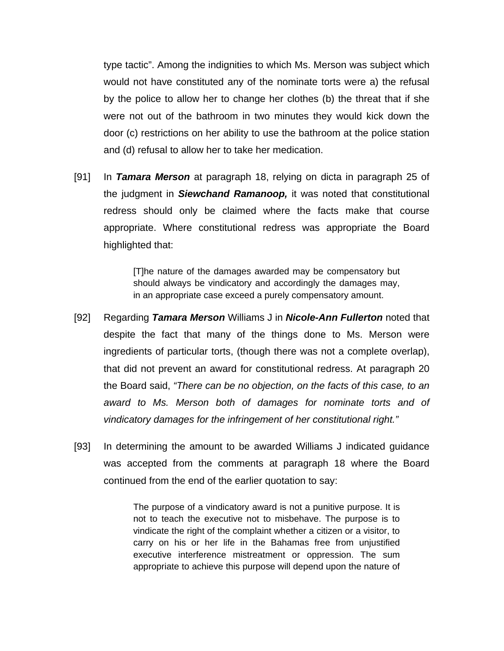type tactic". Among the indignities to which Ms. Merson was subject which would not have constituted any of the nominate torts were a) the refusal by the police to allow her to change her clothes (b) the threat that if she were not out of the bathroom in two minutes they would kick down the door (c) restrictions on her ability to use the bathroom at the police station and (d) refusal to allow her to take her medication.

[91] In *Tamara Merson* at paragraph 18, relying on dicta in paragraph 25 of the judgment in *Siewchand Ramanoop,* it was noted that constitutional redress should only be claimed where the facts make that course appropriate. Where constitutional redress was appropriate the Board highlighted that:

> [T]he nature of the damages awarded may be compensatory but should always be vindicatory and accordingly the damages may, in an appropriate case exceed a purely compensatory amount.

- [92] Regarding *Tamara Merson* Williams J in *Nicole-Ann Fullerton* noted that despite the fact that many of the things done to Ms. Merson were ingredients of particular torts, (though there was not a complete overlap), that did not prevent an award for constitutional redress. At paragraph 20 the Board said, *"There can be no objection, on the facts of this case, to an award to Ms. Merson both of damages for nominate torts and of vindicatory damages for the infringement of her constitutional right."*
- [93] In determining the amount to be awarded Williams J indicated guidance was accepted from the comments at paragraph 18 where the Board continued from the end of the earlier quotation to say:

The purpose of a vindicatory award is not a punitive purpose. It is not to teach the executive not to misbehave. The purpose is to vindicate the right of the complaint whether a citizen or a visitor, to carry on his or her life in the Bahamas free from unjustified executive interference mistreatment or oppression. The sum appropriate to achieve this purpose will depend upon the nature of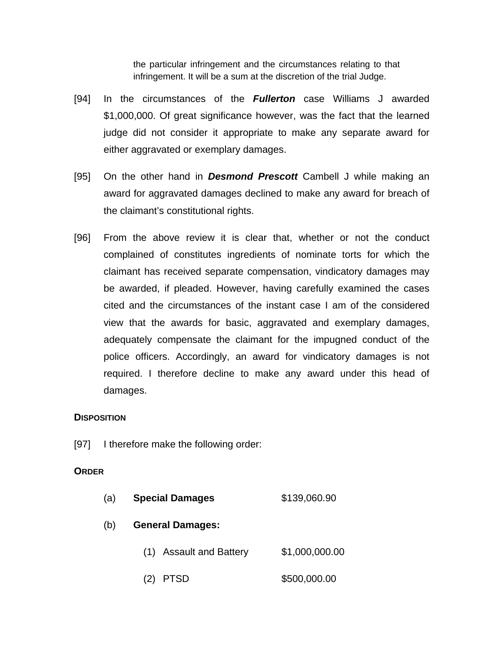the particular infringement and the circumstances relating to that infringement. It will be a sum at the discretion of the trial Judge.

- [94] In the circumstances of the *Fullerton* case Williams J awarded \$1,000,000. Of great significance however, was the fact that the learned judge did not consider it appropriate to make any separate award for either aggravated or exemplary damages.
- [95] On the other hand in *Desmond Prescott* Cambell J while making an award for aggravated damages declined to make any award for breach of the claimant's constitutional rights.
- [96] From the above review it is clear that, whether or not the conduct complained of constitutes ingredients of nominate torts for which the claimant has received separate compensation, vindicatory damages may be awarded, if pleaded. However, having carefully examined the cases cited and the circumstances of the instant case I am of the considered view that the awards for basic, aggravated and exemplary damages, adequately compensate the claimant for the impugned conduct of the police officers. Accordingly, an award for vindicatory damages is not required. I therefore decline to make any award under this head of damages.

## **DISPOSITION**

[97] I therefore make the following order:

#### **ORDER**

| (a) | <b>Special Damages</b>  | \$139,060.90   |
|-----|-------------------------|----------------|
| (b) | <b>General Damages:</b> |                |
|     | (1) Assault and Battery | \$1,000,000.00 |
|     | PTSD                    | \$500,000.00   |